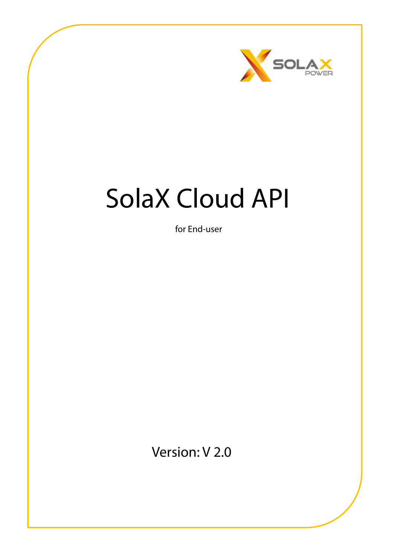

# SolaX Cloud API

for End-user

Version: V 2.0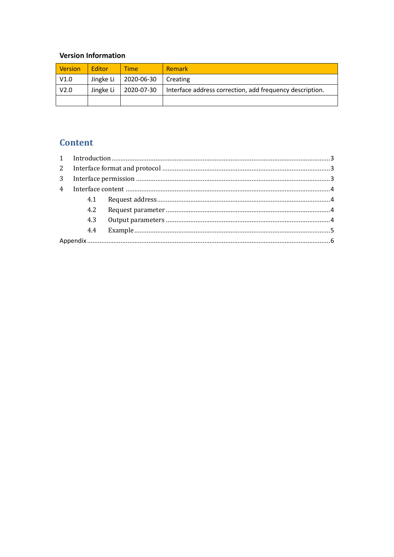#### **Version Information**

| Version          | <b>Fditor</b> | <b>Time</b>       | <b>Remark</b>                                            |
|------------------|---------------|-------------------|----------------------------------------------------------|
| V1.0             | Jingke Li     | $\mid$ 2020-06-30 | Creating                                                 |
| V <sub>2.0</sub> | Jingke Li     | 2020-07-30        | Interface address correction, add frequency description. |
|                  |               |                   |                                                          |

### **Content**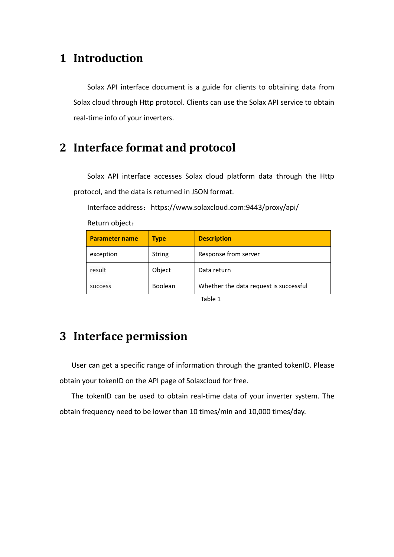## <span id="page-2-0"></span>**1 Introduction**

Solax API interface document is a guide for clients to obtaining data from Solax cloud through Http protocol. Clients can use the Solax API service to obtain real-time info of your inverters.

## <span id="page-2-1"></span>**2 Interface format and protocol**

Solax API interface accesses Solax cloud platform data through the Http protocol, and the data is returned in JSON format.

Interface address: https://www.solaxcloud.com:9443/proxy/api/

| <b>Parameter name</b> | <b>Type</b>   | <b>Description</b>                     |  |  |
|-----------------------|---------------|----------------------------------------|--|--|
| exception             | <b>String</b> | Response from server                   |  |  |
| result                | Object        | Data return                            |  |  |
| success               | Boolean       | Whether the data request is successful |  |  |
|                       |               |                                        |  |  |

Return object:

Table 1

# <span id="page-2-2"></span>**3 Interface permission**

User can get a specific range of information through the granted tokenID. Please obtain your tokenID on the API page of Solaxcloud for free.

The tokenID can be used to obtain real-time data of your inverter system. The obtain frequency need to be lower than 10 times/min and 10,000 times/day.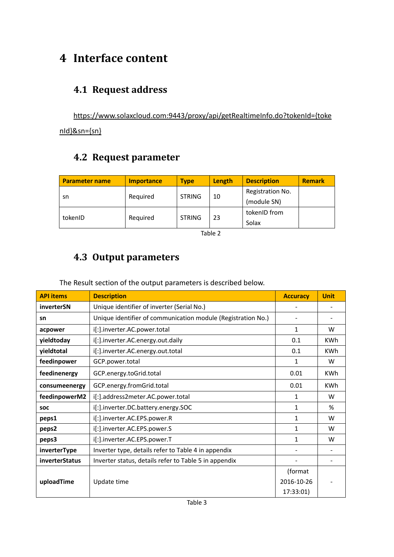# <span id="page-3-0"></span>**4 Interface content**

## <span id="page-3-1"></span>**4.1 Request address**

https://www.solaxcloud.com:9443/proxy/api/getRealtimeInfo.do?tokenId={toke nId}&sn={sn}

# <span id="page-3-2"></span>**4.2 Request parameter**

| <b>Parameter name</b> | <b>Importance</b> | <b>Type</b>   | Length | <b>Description</b> | <b>Remark</b> |
|-----------------------|-------------------|---------------|--------|--------------------|---------------|
|                       |                   |               |        | Registration No.   |               |
| sn                    | Reguired          | <b>STRING</b> | 10     | (module SN)        |               |
| tokenID               | Reguired          | <b>STRING</b> | 23     | tokenID from       |               |
|                       |                   |               |        | Solax              |               |

Table 2

## <span id="page-3-3"></span>**4.3 Output parameters**

The Result section of the output parameters is described below.

| <b>API items</b> | <b>Description</b>                                           | <b>Accuracy</b> | <b>Unit</b> |
|------------------|--------------------------------------------------------------|-----------------|-------------|
| inverterSN       | Unique identifier of inverter (Serial No.)                   |                 |             |
| sn               | Unique identifier of communication module (Registration No.) |                 |             |
| acpower          | i[:].inverter.AC.power.total                                 | 1               | W           |
| yieldtoday       | i[:].inverter.AC.energy.out.daily                            | 0.1             | <b>KWh</b>  |
| yieldtotal       | i[:].inverter.AC.energy.out.total                            | 0.1             | <b>KWh</b>  |
| feedinpower      | GCP.power.total                                              | 1               | W           |
| feedinenergy     | GCP.energy.toGrid.total                                      | 0.01            | <b>KWh</b>  |
| consumeenergy    | GCP.energy.fromGrid.total                                    | 0.01            | <b>KWh</b>  |
| feedinpowerM2    | i[:].address2meter.AC.power.total                            | $\mathbf{1}$    | W           |
| <b>SOC</b>       | i[:].inverter.DC.battery.energy.SOC                          | 1               | %           |
| peps1            | i[:].inverter.AC.EPS.power.R                                 | 1               | W           |
| peps2            | i[:].inverter.AC.EPS.power.S                                 | $\mathbf{1}$    | W           |
| peps3            | i[:].inverter.AC.EPS.power.T                                 | $\mathbf{1}$    | W           |
| inverterType     | Inverter type, details refer to Table 4 in appendix          |                 |             |
| inverterStatus   | Inverter status, details refer to Table 5 in appendix        |                 |             |
|                  |                                                              | (format         |             |
| uploadTime       | Update time                                                  | 2016-10-26      |             |
|                  |                                                              | 17:33:01)       |             |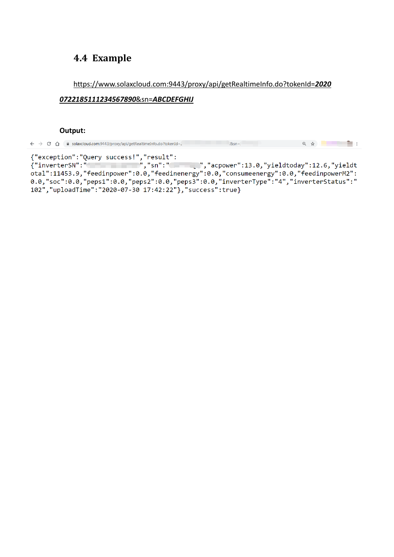## <span id="page-4-0"></span>**4.4 Example**

#### https://www.solaxcloud.com:9443/proxy/api/getRealtimeInfo.do?tokenId=*2020*

#### *0722185111234567890*&sn=*ABCDEFGHIJ*

#### **Output:**

| $\leftarrow$ $\rightarrow$ C | ■ solaxcloud.com:9443/proxy/api/getRealtimeInfo.do?tokenId= |  |  |  |
|------------------------------|-------------------------------------------------------------|--|--|--|
|------------------------------|-------------------------------------------------------------|--|--|--|

otal":11453.9, "feedinpower":0.0, "feedinenergy":0.0, "consumeenergy":0.0, "feedinpowerM2":<br>0.0, "soc":0.0, "peps1":0.0, "peps2":0.0, "peps3":0.0, "inverterType": "4", "inverterStatus": "<br>102", "uploadTime": "2020-07-30 17